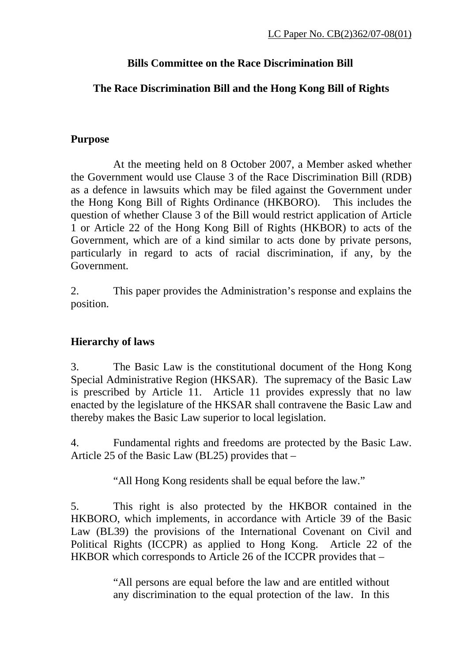#### **Bills Committee on the Race Discrimination Bill**

## **The Race Discrimination Bill and the Hong Kong Bill of Rights**

## **Purpose**

 At the meeting held on 8 October 2007, a Member asked whether the Government would use Clause 3 of the Race Discrimination Bill (RDB) as a defence in lawsuits which may be filed against the Government under the Hong Kong Bill of Rights Ordinance (HKBORO). This includes the question of whether Clause 3 of the Bill would restrict application of Article 1 or Article 22 of the Hong Kong Bill of Rights (HKBOR) to acts of the Government, which are of a kind similar to acts done by private persons, particularly in regard to acts of racial discrimination, if any, by the Government.

2. This paper provides the Administration's response and explains the position.

# **Hierarchy of laws**

3. The Basic Law is the constitutional document of the Hong Kong Special Administrative Region (HKSAR). The supremacy of the Basic Law is prescribed by Article 11. Article 11 provides expressly that no law enacted by the legislature of the HKSAR shall contravene the Basic Law and thereby makes the Basic Law superior to local legislation.

4. Fundamental rights and freedoms are protected by the Basic Law. Article 25 of the Basic Law (BL25) provides that –

"All Hong Kong residents shall be equal before the law."

5. This right is also protected by the HKBOR contained in the HKBORO, which implements, in accordance with Article 39 of the Basic Law (BL39) the provisions of the International Covenant on Civil and Political Rights (ICCPR) as applied to Hong Kong. Article 22 of the HKBOR which corresponds to Article 26 of the ICCPR provides that –

> "All persons are equal before the law and are entitled without any discrimination to the equal protection of the law. In this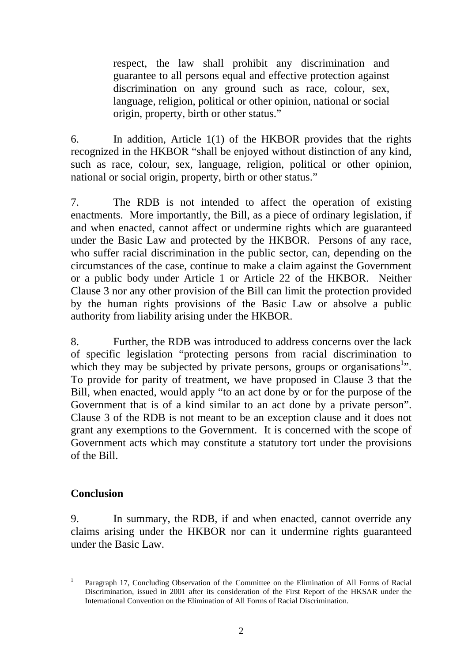respect, the law shall prohibit any discrimination and guarantee to all persons equal and effective protection against discrimination on any ground such as race, colour, sex, language, religion, political or other opinion, national or social origin, property, birth or other status."

6. In addition, Article 1(1) of the HKBOR provides that the rights recognized in the HKBOR "shall be enjoyed without distinction of any kind, such as race, colour, sex, language, religion, political or other opinion, national or social origin, property, birth or other status."

7. The RDB is not intended to affect the operation of existing enactments. More importantly, the Bill, as a piece of ordinary legislation, if and when enacted, cannot affect or undermine rights which are guaranteed under the Basic Law and protected by the HKBOR. Persons of any race, who suffer racial discrimination in the public sector, can, depending on the circumstances of the case, continue to make a claim against the Government or a public body under Article 1 or Article 22 of the HKBOR. Neither Clause 3 nor any other provision of the Bill can limit the protection provided by the human rights provisions of the Basic Law or absolve a public authority from liability arising under the HKBOR.

8. Further, the RDB was introduced to address concerns over the lack of specific legislation "protecting persons from racial discrimination to which they may be subjected by private persons, groups or organisations<sup>1</sup>. To provide for parity of treatment, we have proposed in Clause 3 that the Bill, when enacted, would apply "to an act done by or for the purpose of the Government that is of a kind similar to an act done by a private person". Clause 3 of the RDB is not meant to be an exception clause and it does not grant any exemptions to the Government. It is concerned with the scope of Government acts which may constitute a statutory tort under the provisions of the Bill.

#### **Conclusion**

9. In summary, the RDB, if and when enacted, cannot override any claims arising under the HKBOR nor can it undermine rights guaranteed under the Basic Law.

 $\overline{a}$ 1 Paragraph 17, Concluding Observation of the Committee on the Elimination of All Forms of Racial Discrimination, issued in 2001 after its consideration of the First Report of the HKSAR under the International Convention on the Elimination of All Forms of Racial Discrimination.